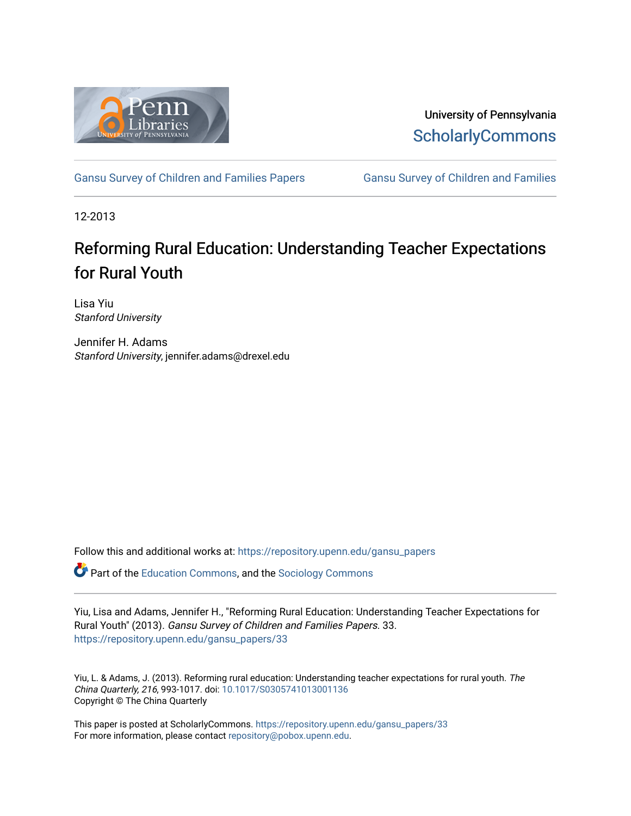

University of Pennsylvania **ScholarlyCommons** 

[Gansu Survey of Children and Families Papers](https://repository.upenn.edu/gansu_papers) Gansu Survey of Children and Families

12-2013

## Reforming Rural Education: Understanding Teacher Expectations for Rural Youth

Lisa Yiu Stanford University

Jennifer H. Adams Stanford University, jennifer.adams@drexel.edu

Follow this and additional works at: [https://repository.upenn.edu/gansu\\_papers](https://repository.upenn.edu/gansu_papers?utm_source=repository.upenn.edu%2Fgansu_papers%2F33&utm_medium=PDF&utm_campaign=PDFCoverPages)  **C** Part of the [Education Commons](http://network.bepress.com/hgg/discipline/784?utm_source=repository.upenn.edu%2Fgansu_papers%2F33&utm_medium=PDF&utm_campaign=PDFCoverPages), and the [Sociology Commons](http://network.bepress.com/hgg/discipline/416?utm_source=repository.upenn.edu%2Fgansu_papers%2F33&utm_medium=PDF&utm_campaign=PDFCoverPages)

Yiu, Lisa and Adams, Jennifer H., "Reforming Rural Education: Understanding Teacher Expectations for Rural Youth" (2013). Gansu Survey of Children and Families Papers. 33. [https://repository.upenn.edu/gansu\\_papers/33](https://repository.upenn.edu/gansu_papers/33?utm_source=repository.upenn.edu%2Fgansu_papers%2F33&utm_medium=PDF&utm_campaign=PDFCoverPages)

Yiu, L. & Adams, J. (2013). Reforming rural education: Understanding teacher expectations for rural youth. The China Quarterly, 216, 993-1017. doi: [10.1017/S0305741013001136](http://dx.doi.org/10.1017/S0305741013001136) Copyright © The China Quarterly

This paper is posted at ScholarlyCommons. [https://repository.upenn.edu/gansu\\_papers/33](https://repository.upenn.edu/gansu_papers/33)  For more information, please contact [repository@pobox.upenn.edu.](mailto:repository@pobox.upenn.edu)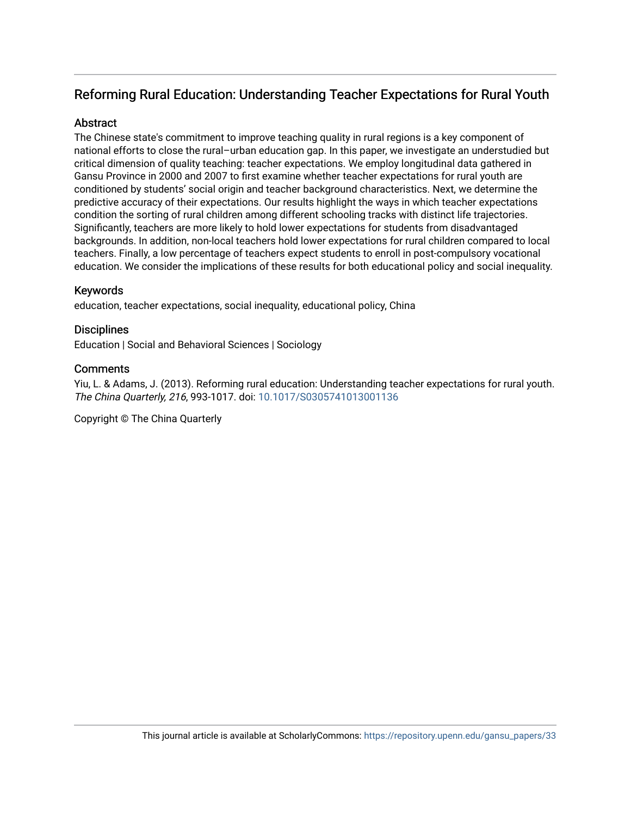## Reforming Rural Education: Understanding Teacher Expectations for Rural Youth

## **Abstract**

The Chinese state's commitment to improve teaching quality in rural regions is a key component of national efforts to close the rural–urban education gap. In this paper, we investigate an understudied but critical dimension of quality teaching: teacher expectations. We employ longitudinal data gathered in Gansu Province in 2000 and 2007 to first examine whether teacher expectations for rural youth are conditioned by students' social origin and teacher background characteristics. Next, we determine the predictive accuracy of their expectations. Our results highlight the ways in which teacher expectations condition the sorting of rural children among different schooling tracks with distinct life trajectories. Significantly, teachers are more likely to hold lower expectations for students from disadvantaged backgrounds. In addition, non-local teachers hold lower expectations for rural children compared to local teachers. Finally, a low percentage of teachers expect students to enroll in post-compulsory vocational education. We consider the implications of these results for both educational policy and social inequality.

## Keywords

education, teacher expectations, social inequality, educational policy, China

## **Disciplines**

Education | Social and Behavioral Sciences | Sociology

## **Comments**

Yiu, L. & Adams, J. (2013). Reforming rural education: Understanding teacher expectations for rural youth. The China Quarterly, 216, 993-1017. doi: [10.1017/S0305741013001136](http://dx.doi.org/10.1017/S0305741013001136) 

Copyright © The China Quarterly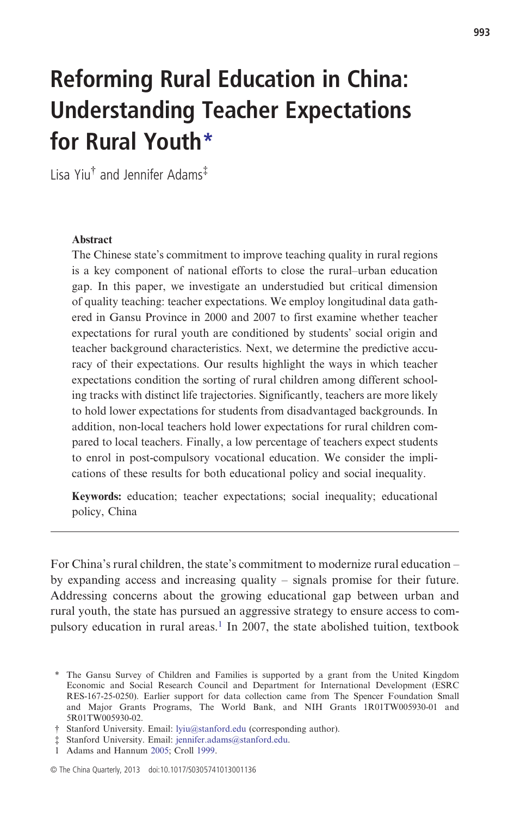# Reforming Rural Education in China: Understanding Teacher Expectations for Rural Youth\*

Lisa Yiu† and Jennifer Adams‡

#### Abstract

The Chinese state's commitment to improve teaching quality in rural regions is a key component of national efforts to close the rural–urban education gap. In this paper, we investigate an understudied but critical dimension of quality teaching: teacher expectations. We employ longitudinal data gathered in Gansu Province in 2000 and 2007 to first examine whether teacher expectations for rural youth are conditioned by students' social origin and teacher background characteristics. Next, we determine the predictive accuracy of their expectations. Our results highlight the ways in which teacher expectations condition the sorting of rural children among different schooling tracks with distinct life trajectories. Significantly, teachers are more likely to hold lower expectations for students from disadvantaged backgrounds. In addition, non-local teachers hold lower expectations for rural children compared to local teachers. Finally, a low percentage of teachers expect students to enrol in post-compulsory vocational education. We consider the implications of these results for both educational policy and social inequality.

Keywords: education; teacher expectations; social inequality; educational policy, China

For China's rural children, the state's commitment to modernize rural education – by expanding access and increasing quality – signals promise for their future. Addressing concerns about the growing educational gap between urban and rural youth, the state has pursued an aggressive strategy to ensure access to compulsory education in rural areas.<sup>1</sup> In 2007, the state abolished tuition, textbook

<sup>\*</sup> The Gansu Survey of Children and Families is supported by a grant from the United Kingdom Economic and Social Research Council and Department for International Development (ESRC RES-167-25-0250). Earlier support for data collection came from The Spencer Foundation Small and Major Grants Programs, The World Bank, and NIH Grants 1R01TW005930-01 and 5R01TW005930-02.

<sup>†</sup> Stanford University. Email: [lyiu@stanford.edu](mailto:lyiu@stanford.edu) (corresponding author).

<sup>‡</sup> Stanford University. Email: [jennifer.adams@stanford.edu](mailto:jennifer.adams@stanford.edu).

<sup>1</sup> Adams and Hannum 2005; Croll 1999.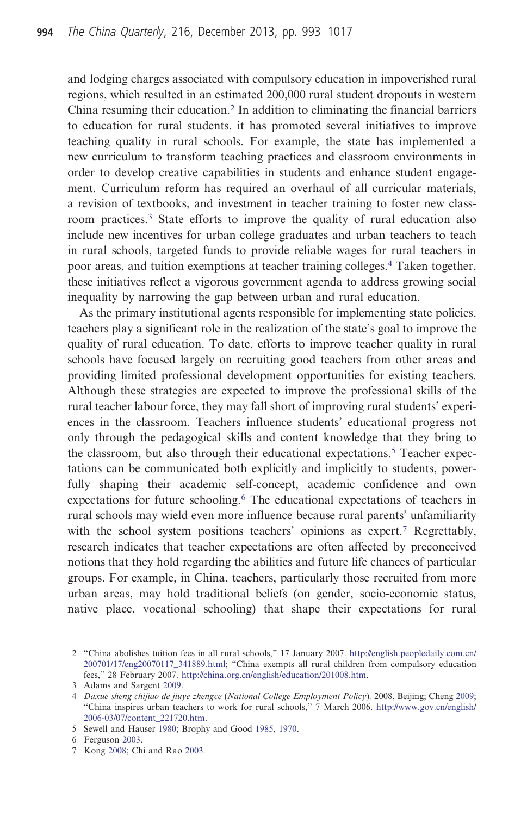and lodging charges associated with compulsory education in impoverished rural regions, which resulted in an estimated 200,000 rural student dropouts in western China resuming their education.<sup>2</sup> In addition to eliminating the financial barriers to education for rural students, it has promoted several initiatives to improve teaching quality in rural schools. For example, the state has implemented a new curriculum to transform teaching practices and classroom environments in order to develop creative capabilities in students and enhance student engagement. Curriculum reform has required an overhaul of all curricular materials, a revision of textbooks, and investment in teacher training to foster new classroom practices.<sup>3</sup> State efforts to improve the quality of rural education also include new incentives for urban college graduates and urban teachers to teach in rural schools, targeted funds to provide reliable wages for rural teachers in poor areas, and tuition exemptions at teacher training colleges.4 Taken together, these initiatives reflect a vigorous government agenda to address growing social inequality by narrowing the gap between urban and rural education.

As the primary institutional agents responsible for implementing state policies, teachers play a significant role in the realization of the state's goal to improve the quality of rural education. To date, efforts to improve teacher quality in rural schools have focused largely on recruiting good teachers from other areas and providing limited professional development opportunities for existing teachers. Although these strategies are expected to improve the professional skills of the rural teacher labour force, they may fall short of improving rural students' experiences in the classroom. Teachers influence students' educational progress not only through the pedagogical skills and content knowledge that they bring to the classroom, but also through their educational expectations.<sup>5</sup> Teacher expectations can be communicated both explicitly and implicitly to students, powerfully shaping their academic self-concept, academic confidence and own expectations for future schooling.<sup>6</sup> The educational expectations of teachers in rural schools may wield even more influence because rural parents' unfamiliarity with the school system positions teachers' opinions as expert.<sup>7</sup> Regrettably, research indicates that teacher expectations are often affected by preconceived notions that they hold regarding the abilities and future life chances of particular groups. For example, in China, teachers, particularly those recruited from more urban areas, may hold traditional beliefs (on gender, socio-economic status, native place, vocational schooling) that shape their expectations for rural

<sup>2</sup> "China abolishes tuition fees in all rural schools," 17 January 2007. [http://english.peopledaily.com.cn/](http://english.peopledaily.com.cn/200701/17/eng20070117_341889.html) [200701/17/eng20070117\\_341889.html](http://english.peopledaily.com.cn/200701/17/eng20070117_341889.html); "China exempts all rural children from compulsory education fees," 28 February 2007. <http://china.org.cn/english/education/201008.htm>.

<sup>3</sup> Adams and Sargent 2009.

<sup>4</sup> Daxue sheng chijiao de jiuye zhengce (National College Employment Policy), 2008, Beijing; Cheng 2009; "China inspires urban teachers to work for rural schools," 7 March 2006. [http://www.gov.cn/english/](http://www.gov.cn/english/2006-03/07/content_221720.htm) [2006-03/07/content\\_221720.htm.](http://www.gov.cn/english/2006-03/07/content_221720.htm)

<sup>5</sup> Sewell and Hauser 1980; Brophy and Good 1985, 1970.

<sup>6</sup> Ferguson 2003.

<sup>7</sup> Kong 2008; Chi and Rao 2003.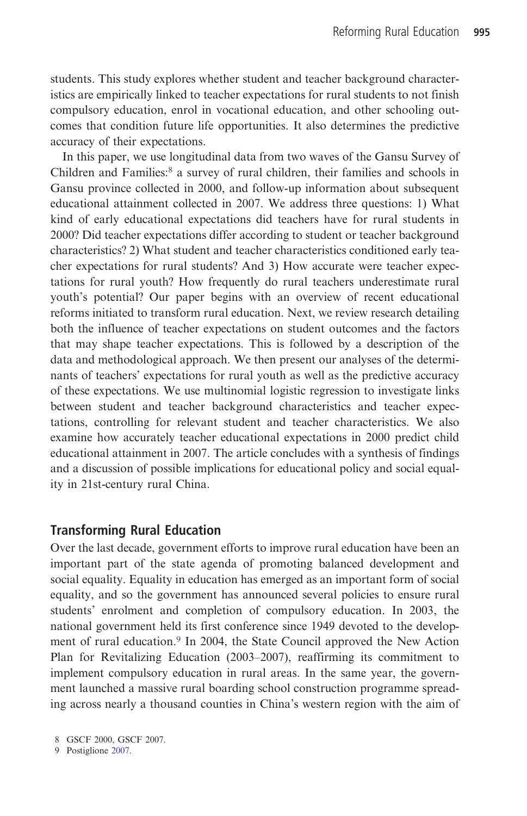students. This study explores whether student and teacher background characteristics are empirically linked to teacher expectations for rural students to not finish compulsory education, enrol in vocational education, and other schooling outcomes that condition future life opportunities. It also determines the predictive accuracy of their expectations.

In this paper, we use longitudinal data from two waves of the Gansu Survey of Children and Families:8 a survey of rural children, their families and schools in Gansu province collected in 2000, and follow-up information about subsequent educational attainment collected in 2007. We address three questions: 1) What kind of early educational expectations did teachers have for rural students in 2000? Did teacher expectations differ according to student or teacher background characteristics? 2) What student and teacher characteristics conditioned early teacher expectations for rural students? And 3) How accurate were teacher expectations for rural youth? How frequently do rural teachers underestimate rural youth's potential? Our paper begins with an overview of recent educational reforms initiated to transform rural education. Next, we review research detailing both the influence of teacher expectations on student outcomes and the factors that may shape teacher expectations. This is followed by a description of the data and methodological approach. We then present our analyses of the determinants of teachers' expectations for rural youth as well as the predictive accuracy of these expectations. We use multinomial logistic regression to investigate links between student and teacher background characteristics and teacher expectations, controlling for relevant student and teacher characteristics. We also examine how accurately teacher educational expectations in 2000 predict child educational attainment in 2007. The article concludes with a synthesis of findings and a discussion of possible implications for educational policy and social equality in 21st-century rural China.

#### Transforming Rural Education

Over the last decade, government efforts to improve rural education have been an important part of the state agenda of promoting balanced development and social equality. Equality in education has emerged as an important form of social equality, and so the government has announced several policies to ensure rural students' enrolment and completion of compulsory education. In 2003, the national government held its first conference since 1949 devoted to the development of rural education.<sup>9</sup> In 2004, the State Council approved the New Action Plan for Revitalizing Education (2003–2007), reaffirming its commitment to implement compulsory education in rural areas. In the same year, the government launched a massive rural boarding school construction programme spreading across nearly a thousand counties in China's western region with the aim of

<sup>8</sup> GSCF 2000, GSCF 2007.

<sup>9</sup> Postiglione 2007.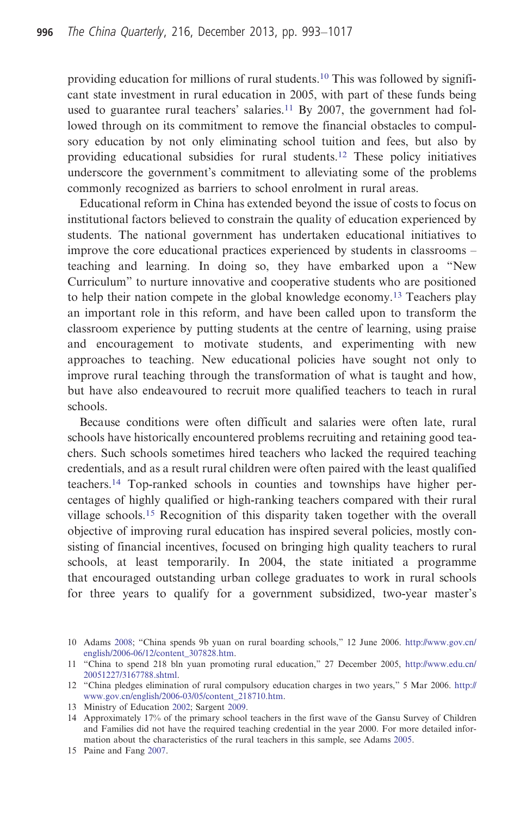providing education for millions of rural students.10 This was followed by significant state investment in rural education in 2005, with part of these funds being used to guarantee rural teachers' salaries.<sup>11</sup> By 2007, the government had followed through on its commitment to remove the financial obstacles to compulsory education by not only eliminating school tuition and fees, but also by providing educational subsidies for rural students.<sup>12</sup> These policy initiatives underscore the government's commitment to alleviating some of the problems commonly recognized as barriers to school enrolment in rural areas.

Educational reform in China has extended beyond the issue of costs to focus on institutional factors believed to constrain the quality of education experienced by students. The national government has undertaken educational initiatives to improve the core educational practices experienced by students in classrooms – teaching and learning. In doing so, they have embarked upon a "New Curriculum" to nurture innovative and cooperative students who are positioned to help their nation compete in the global knowledge economy.13 Teachers play an important role in this reform, and have been called upon to transform the classroom experience by putting students at the centre of learning, using praise and encouragement to motivate students, and experimenting with new approaches to teaching. New educational policies have sought not only to improve rural teaching through the transformation of what is taught and how, but have also endeavoured to recruit more qualified teachers to teach in rural schools.

Because conditions were often difficult and salaries were often late, rural schools have historically encountered problems recruiting and retaining good teachers. Such schools sometimes hired teachers who lacked the required teaching credentials, and as a result rural children were often paired with the least qualified teachers.14 Top-ranked schools in counties and townships have higher percentages of highly qualified or high-ranking teachers compared with their rural village schools.<sup>15</sup> Recognition of this disparity taken together with the overall objective of improving rural education has inspired several policies, mostly consisting of financial incentives, focused on bringing high quality teachers to rural schools, at least temporarily. In 2004, the state initiated a programme that encouraged outstanding urban college graduates to work in rural schools for three years to qualify for a government subsidized, two-year master's

<sup>10</sup> Adams 2008; "China spends 9b yuan on rural boarding schools," 12 June 2006. [http://www.gov.cn/](http://www.gov.cn/english/2006-06/12/content_307828.htm) [english/2006-06/12/content\\_307828.htm](http://www.gov.cn/english/2006-06/12/content_307828.htm).

<sup>11</sup> "China to spend 218 bln yuan promoting rural education," 27 December 2005, [http://www.edu.cn/](http://www.edu.cn/20051227/3167788.shtml) [20051227/3167788.shtml.](http://www.edu.cn/20051227/3167788.shtml)

<sup>12</sup> "China pledges elimination of rural compulsory education charges in two years," 5 Mar 2006. [http://](http://www.gov.cn/english/2006-03/05/content_218710.htm) [www.gov.cn/english/2006-03/05/content\\_218710.htm](http://www.gov.cn/english/2006-03/05/content_218710.htm).

<sup>13</sup> Ministry of Education 2002; Sargent 2009.

<sup>14</sup> Approximately 17% of the primary school teachers in the first wave of the Gansu Survey of Children and Families did not have the required teaching credential in the year 2000. For more detailed information about the characteristics of the rural teachers in this sample, see Adams 2005.

<sup>15</sup> Paine and Fang 2007.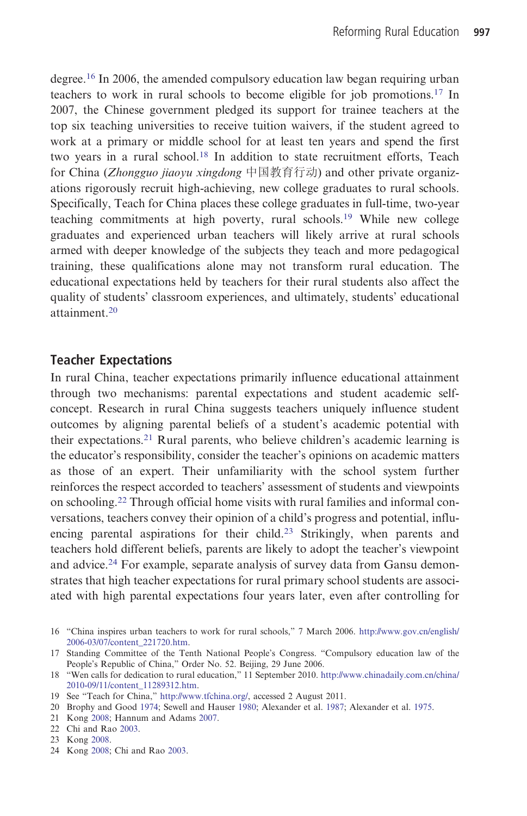degree.<sup>16</sup> In 2006, the amended compulsory education law began requiring urban teachers to work in rural schools to become eligible for job promotions.17 In 2007, the Chinese government pledged its support for trainee teachers at the top six teaching universities to receive tuition waivers, if the student agreed to work at a primary or middle school for at least ten years and spend the first two years in a rural school.<sup>18</sup> In addition to state recruitment efforts, Teach for China (Zhongguo jiaoyu xingdong 中国教育行动) and other private organizations rigorously recruit high-achieving, new college graduates to rural schools. Specifically, Teach for China places these college graduates in full-time, two-year teaching commitments at high poverty, rural schools.<sup>19</sup> While new college graduates and experienced urban teachers will likely arrive at rural schools armed with deeper knowledge of the subjects they teach and more pedagogical training, these qualifications alone may not transform rural education. The educational expectations held by teachers for their rural students also affect the quality of students' classroom experiences, and ultimately, students' educational attainment.<sup>20</sup>

#### Teacher Expectations

In rural China, teacher expectations primarily influence educational attainment through two mechanisms: parental expectations and student academic selfconcept. Research in rural China suggests teachers uniquely influence student outcomes by aligning parental beliefs of a student's academic potential with their expectations.<sup>21</sup> Rural parents, who believe children's academic learning is the educator's responsibility, consider the teacher's opinions on academic matters as those of an expert. Their unfamiliarity with the school system further reinforces the respect accorded to teachers' assessment of students and viewpoints on schooling.<sup>22</sup> Through official home visits with rural families and informal conversations, teachers convey their opinion of a child's progress and potential, influencing parental aspirations for their child.<sup>23</sup> Strikingly, when parents and teachers hold different beliefs, parents are likely to adopt the teacher's viewpoint and advice.<sup>24</sup> For example, separate analysis of survey data from Gansu demonstrates that high teacher expectations for rural primary school students are associated with high parental expectations four years later, even after controlling for

24 Kong 2008; Chi and Rao 2003.

<sup>16</sup> "China inspires urban teachers to work for rural schools," 7 March 2006. [http://www.gov.cn/english/](http://www.gov.cn/english/2006-03/07/content_221720.htm) [2006-03/07/content\\_221720.htm.](http://www.gov.cn/english/2006-03/07/content_221720.htm)

<sup>17</sup> Standing Committee of the Tenth National People's Congress. "Compulsory education law of the People's Republic of China," Order No. 52. Beijing, 29 June 2006.

<sup>18</sup> "Wen calls for dedication to rural education," 11 September 2010. [http://www.chinadaily.com.cn/china/](http://www.chinadaily.com.cn/china/2010-09/11/content_11289312.htm) [2010-09/11/content\\_11289312.htm](http://www.chinadaily.com.cn/china/2010-09/11/content_11289312.htm).

<sup>19</sup> See "Teach for China," [http://www.tfchina.org/,](http://www.tfchina.org/) accessed 2 August 2011.

<sup>20</sup> Brophy and Good 1974; Sewell and Hauser 1980; Alexander et al. 1987; Alexander et al. 1975.

<sup>21</sup> Kong 2008; Hannum and Adams 2007.

<sup>22</sup> Chi and Rao 2003.

<sup>23</sup> Kong 2008.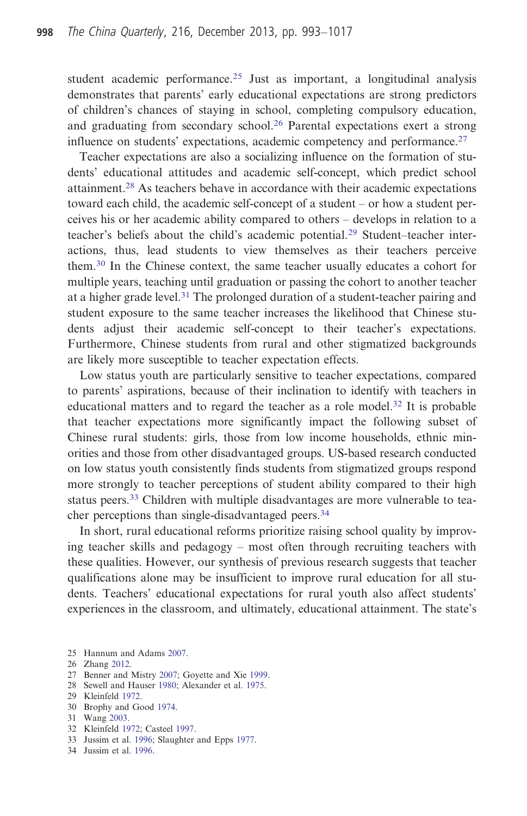student academic performance.<sup>25</sup> Just as important, a longitudinal analysis demonstrates that parents' early educational expectations are strong predictors of children's chances of staying in school, completing compulsory education, and graduating from secondary school.<sup>26</sup> Parental expectations exert a strong influence on students' expectations, academic competency and performance.<sup>27</sup>

Teacher expectations are also a socializing influence on the formation of students' educational attitudes and academic self-concept, which predict school attainment.<sup>28</sup> As teachers behave in accordance with their academic expectations toward each child, the academic self-concept of a student – or how a student perceives his or her academic ability compared to others – develops in relation to a teacher's beliefs about the child's academic potential.<sup>29</sup> Student–teacher interactions, thus, lead students to view themselves as their teachers perceive them.<sup>30</sup> In the Chinese context, the same teacher usually educates a cohort for multiple years, teaching until graduation or passing the cohort to another teacher at a higher grade level.<sup>31</sup> The prolonged duration of a student-teacher pairing and student exposure to the same teacher increases the likelihood that Chinese students adjust their academic self-concept to their teacher's expectations. Furthermore, Chinese students from rural and other stigmatized backgrounds are likely more susceptible to teacher expectation effects.

Low status youth are particularly sensitive to teacher expectations, compared to parents' aspirations, because of their inclination to identify with teachers in educational matters and to regard the teacher as a role model.<sup>32</sup> It is probable that teacher expectations more significantly impact the following subset of Chinese rural students: girls, those from low income households, ethnic minorities and those from other disadvantaged groups. US-based research conducted on low status youth consistently finds students from stigmatized groups respond more strongly to teacher perceptions of student ability compared to their high status peers.<sup>33</sup> Children with multiple disadvantages are more vulnerable to teacher perceptions than single-disadvantaged peers.<sup>34</sup>

In short, rural educational reforms prioritize raising school quality by improving teacher skills and pedagogy – most often through recruiting teachers with these qualities. However, our synthesis of previous research suggests that teacher qualifications alone may be insufficient to improve rural education for all students. Teachers' educational expectations for rural youth also affect students' experiences in the classroom, and ultimately, educational attainment. The state's

28 Sewell and Hauser 1980; Alexander et al. 1975.

- 30 Brophy and Good 1974.
- 31 Wang 2003.
- 32 Kleinfeld 1972; Casteel 1997.
- 33 Jussim et al. 1996; Slaughter and Epps 1977.
- 34 Jussim et al. 1996.

<sup>25</sup> Hannum and Adams 2007.

<sup>26</sup> Zhang 2012.

<sup>27</sup> Benner and Mistry 2007; Goyette and Xie 1999.

<sup>29</sup> Kleinfeld 1972.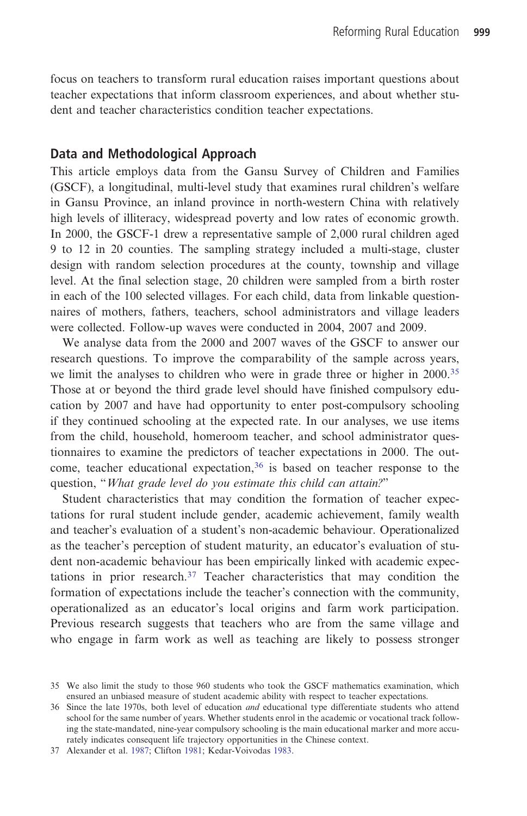focus on teachers to transform rural education raises important questions about teacher expectations that inform classroom experiences, and about whether student and teacher characteristics condition teacher expectations.

#### Data and Methodological Approach

This article employs data from the Gansu Survey of Children and Families (GSCF), a longitudinal, multi-level study that examines rural children's welfare in Gansu Province, an inland province in north-western China with relatively high levels of illiteracy, widespread poverty and low rates of economic growth. In 2000, the GSCF-1 drew a representative sample of 2,000 rural children aged 9 to 12 in 20 counties. The sampling strategy included a multi-stage, cluster design with random selection procedures at the county, township and village level. At the final selection stage, 20 children were sampled from a birth roster in each of the 100 selected villages. For each child, data from linkable questionnaires of mothers, fathers, teachers, school administrators and village leaders were collected. Follow-up waves were conducted in 2004, 2007 and 2009.

We analyse data from the 2000 and 2007 waves of the GSCF to answer our research questions. To improve the comparability of the sample across years, we limit the analyses to children who were in grade three or higher in 2000.<sup>35</sup> Those at or beyond the third grade level should have finished compulsory education by 2007 and have had opportunity to enter post-compulsory schooling if they continued schooling at the expected rate. In our analyses, we use items from the child, household, homeroom teacher, and school administrator questionnaires to examine the predictors of teacher expectations in 2000. The outcome, teacher educational expectation,<sup>36</sup> is based on teacher response to the question, "What grade level do you estimate this child can attain?"

Student characteristics that may condition the formation of teacher expectations for rural student include gender, academic achievement, family wealth and teacher's evaluation of a student's non-academic behaviour. Operationalized as the teacher's perception of student maturity, an educator's evaluation of student non-academic behaviour has been empirically linked with academic expectations in prior research.<sup>37</sup> Teacher characteristics that may condition the formation of expectations include the teacher's connection with the community, operationalized as an educator's local origins and farm work participation. Previous research suggests that teachers who are from the same village and who engage in farm work as well as teaching are likely to possess stronger

<sup>35</sup> We also limit the study to those 960 students who took the GSCF mathematics examination, which ensured an unbiased measure of student academic ability with respect to teacher expectations.

<sup>36</sup> Since the late 1970s, both level of education and educational type differentiate students who attend school for the same number of years. Whether students enrol in the academic or vocational track following the state-mandated, nine-year compulsory schooling is the main educational marker and more accurately indicates consequent life trajectory opportunities in the Chinese context.

<sup>37</sup> Alexander et al. 1987; Clifton 1981; Kedar-Voivodas 1983.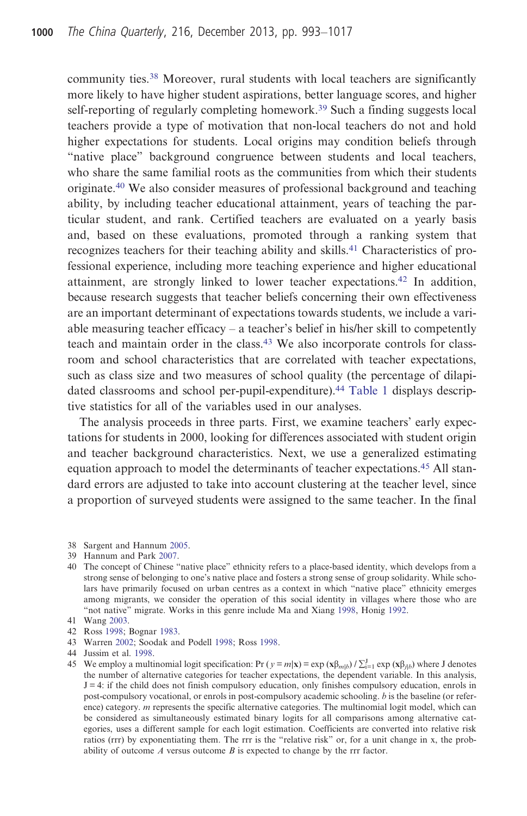community ties.<sup>38</sup> Moreover, rural students with local teachers are significantly more likely to have higher student aspirations, better language scores, and higher self-reporting of regularly completing homework.<sup>39</sup> Such a finding suggests local teachers provide a type of motivation that non-local teachers do not and hold higher expectations for students. Local origins may condition beliefs through "native place" background congruence between students and local teachers, who share the same familial roots as the communities from which their students originate.40 We also consider measures of professional background and teaching ability, by including teacher educational attainment, years of teaching the particular student, and rank. Certified teachers are evaluated on a yearly basis and, based on these evaluations, promoted through a ranking system that recognizes teachers for their teaching ability and skills.<sup>41</sup> Characteristics of professional experience, including more teaching experience and higher educational attainment, are strongly linked to lower teacher expectations.<sup>42</sup> In addition, because research suggests that teacher beliefs concerning their own effectiveness are an important determinant of expectations towards students, we include a variable measuring teacher efficacy – a teacher's belief in his/her skill to competently teach and maintain order in the class.<sup>43</sup> We also incorporate controls for classroom and school characteristics that are correlated with teacher expectations, such as class size and two measures of school quality (the percentage of dilapidated classrooms and school per-pupil-expenditure).<sup>44</sup> Table 1 displays descriptive statistics for all of the variables used in our analyses.

The analysis proceeds in three parts. First, we examine teachers' early expectations for students in 2000, looking for differences associated with student origin and teacher background characteristics. Next, we use a generalized estimating equation approach to model the determinants of teacher expectations.<sup>45</sup> All standard errors are adjusted to take into account clustering at the teacher level, since a proportion of surveyed students were assigned to the same teacher. In the final

- 39 Hannum and Park 2007.
- 40 The concept of Chinese "native place" ethnicity refers to a place-based identity, which develops from a strong sense of belonging to one's native place and fosters a strong sense of group solidarity. While scholars have primarily focused on urban centres as a context in which "native place" ethnicity emerges among migrants, we consider the operation of this social identity in villages where those who are "not native" migrate. Works in this genre include Ma and Xiang 1998, Honig 1992.
- 41 Wang 2003.
- 42 Ross 1998; Bognar 1983.
- 43 Warren 2002; Soodak and Podell 1998; Ross 1998.
- 44 Jussim et al. 1998.

<sup>38</sup> Sargent and Hannum 2005.

<sup>45</sup> We employ a multinomial logit specification: Pr  $(y = m|\mathbf{x}) = \exp(\mathbf{x}\beta_{m|b}) / \sum_{i=1}^{J} \exp(\mathbf{x}\beta_{jlb})$  where J denotes the number of alternative categories for teacher expectations, the dependent variable. In this analysis,  $J = 4$ : if the child does not finish compulsory education, only finishes compulsory education, enrols in post-compulsory vocational, or enrols in post-compulsory academic schooling. b is the baseline (or reference) category. *m* represents the specific alternative categories. The multinomial logit model, which can be considered as simultaneously estimated binary logits for all comparisons among alternative categories, uses a different sample for each logit estimation. Coefficients are converted into relative risk ratios (rrr) by exponentiating them. The rrr is the "relative risk" or, for a unit change in x, the probability of outcome  $A$  versus outcome  $B$  is expected to change by the rrr factor.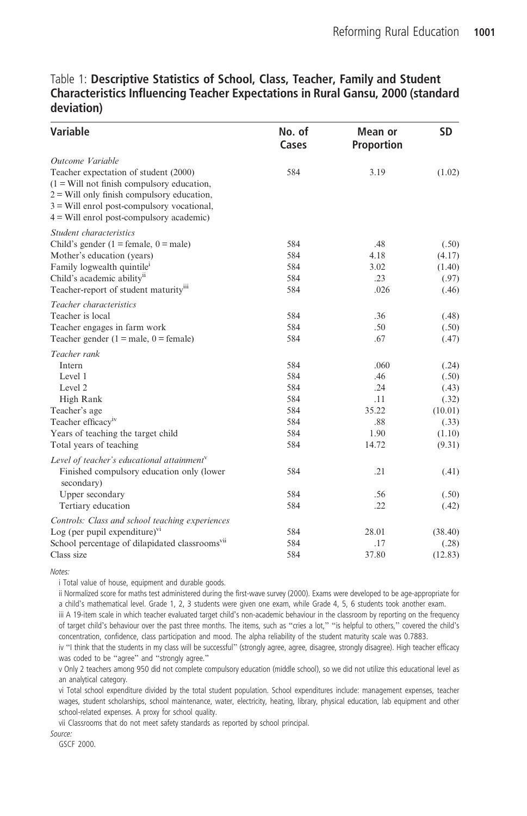#### Table 1: Descriptive Statistics of School, Class, Teacher, Family and Student Characteristics Influencing Teacher Expectations in Rural Gansu, 2000 (standard deviation)

| <b>Variable</b>                                                                                                                                                                          | No. of<br>Cases | Mean or<br><b>Proportion</b> | <b>SD</b> |
|------------------------------------------------------------------------------------------------------------------------------------------------------------------------------------------|-----------------|------------------------------|-----------|
| Outcome Variable<br>Teacher expectation of student (2000)                                                                                                                                | 584             | 3.19                         | (1.02)    |
| $(1 = Will not finish complexity education,$<br>$2 =$ Will only finish compulsory education,<br>$3$ = Will enrol post-compulsory vocational,<br>4 = Will enrol post-compulsory academic) |                 |                              |           |
| Student characteristics                                                                                                                                                                  |                 |                              |           |
| Child's gender ( $1$ = female, $0$ = male)                                                                                                                                               | 584             | .48                          | (.50)     |
| Mother's education (years)                                                                                                                                                               | 584             | 4.18                         | (4.17)    |
| Family logwealth quintile <sup>1</sup>                                                                                                                                                   | 584             | 3.02                         | (1.40)    |
| Child's academic ability <sup>ii</sup>                                                                                                                                                   | 584             | .23                          | (.97)     |
| Teacher-report of student maturity <sup>111</sup>                                                                                                                                        | 584             | .026                         | (.46)     |
| Teacher characteristics                                                                                                                                                                  |                 |                              |           |
| Teacher is local                                                                                                                                                                         | 584             | .36                          | (.48)     |
| Teacher engages in farm work                                                                                                                                                             | 584             | .50                          | (.50)     |
| Teacher gender $(1 = male, 0 = female)$                                                                                                                                                  | 584             | .67                          | (.47)     |
| Teacher rank                                                                                                                                                                             |                 |                              |           |
| Intern                                                                                                                                                                                   | 584             | .060                         | (.24)     |
| Level 1                                                                                                                                                                                  | 584             | .46                          | (.50)     |
| Level 2                                                                                                                                                                                  | 584             | .24                          | (.43)     |
| High Rank                                                                                                                                                                                | 584             | .11                          | (.32)     |
| Teacher's age                                                                                                                                                                            | 584             | 35.22                        | (10.01)   |
| Teacher efficacy <sup>iv</sup>                                                                                                                                                           | 584             | .88                          | (.33)     |
| Years of teaching the target child                                                                                                                                                       | 584             | 1.90                         | (1.10)    |
| Total years of teaching                                                                                                                                                                  | 584             | 14.72                        | (9.31)    |
| Level of teacher's educational attainment $v$                                                                                                                                            |                 |                              |           |
| Finished compulsory education only (lower<br>secondary)                                                                                                                                  | 584             | .21                          | (.41)     |
| Upper secondary                                                                                                                                                                          | 584             | .56                          | (.50)     |
| Tertiary education                                                                                                                                                                       | 584             | .22                          | (.42)     |
| Controls: Class and school teaching experiences                                                                                                                                          |                 |                              |           |
| Log (per pupil expenditure) <sup>vi</sup>                                                                                                                                                | 584             | 28.01                        | (38.40)   |
| School percentage of dilapidated classrooms <sup>vii</sup>                                                                                                                               | 584             | .17                          | (.28)     |
| Class size                                                                                                                                                                               | 584             | 37.80                        | (12.83)   |

Notes:

i Total value of house, equipment and durable goods.

ii Normalized score for maths test administered during the first-wave survey (2000). Exams were developed to be age-appropriate for a child's mathematical level. Grade 1, 2, 3 students were given one exam, while Grade 4, 5, 6 students took another exam.

iii A 19-item scale in which teacher evaluated target child's non-academic behaviour in the classroom by reporting on the frequency of target child's behaviour over the past three months. The items, such as "cries a lot," "is helpful to others," covered the child's concentration, confidence, class participation and mood. The alpha reliability of the student maturity scale was 0.7883.

iv "I think that the students in my class will be successful" (strongly agree, agree, disagree, strongly disagree). High teacher efficacy was coded to be "agree" and "strongly agree."

v Only 2 teachers among 950 did not complete compulsory education (middle school), so we did not utilize this educational level as an analytical category.

vi Total school expenditure divided by the total student population. School expenditures include: management expenses, teacher wages, student scholarships, school maintenance, water, electricity, heating, library, physical education, lab equipment and other school-related expenses. A proxy for school quality.

vii Classrooms that do not meet safety standards as reported by school principal.

Source:

GSCF 2000.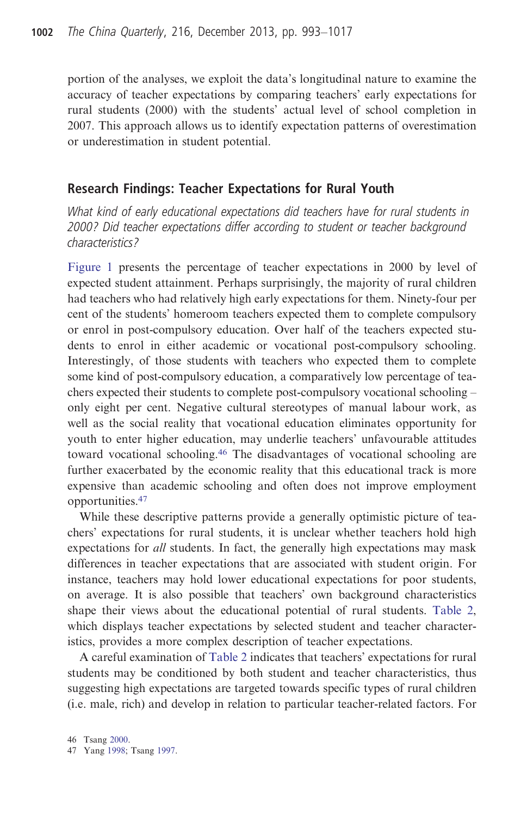portion of the analyses, we exploit the data's longitudinal nature to examine the accuracy of teacher expectations by comparing teachers' early expectations for rural students (2000) with the students' actual level of school completion in 2007. This approach allows us to identify expectation patterns of overestimation or underestimation in student potential.

#### Research Findings: Teacher Expectations for Rural Youth

What kind of early educational expectations did teachers have for rural students in 2000? Did teacher expectations differ according to student or teacher background characteristics?

Figure 1 presents the percentage of teacher expectations in 2000 by level of expected student attainment. Perhaps surprisingly, the majority of rural children had teachers who had relatively high early expectations for them. Ninety-four per cent of the students' homeroom teachers expected them to complete compulsory or enrol in post-compulsory education. Over half of the teachers expected students to enrol in either academic or vocational post-compulsory schooling. Interestingly, of those students with teachers who expected them to complete some kind of post-compulsory education, a comparatively low percentage of teachers expected their students to complete post-compulsory vocational schooling – only eight per cent. Negative cultural stereotypes of manual labour work, as well as the social reality that vocational education eliminates opportunity for youth to enter higher education, may underlie teachers' unfavourable attitudes toward vocational schooling.<sup>46</sup> The disadvantages of vocational schooling are further exacerbated by the economic reality that this educational track is more expensive than academic schooling and often does not improve employment opportunities.<sup>47</sup>

While these descriptive patterns provide a generally optimistic picture of teachers' expectations for rural students, it is unclear whether teachers hold high expectations for *all* students. In fact, the generally high expectations may mask differences in teacher expectations that are associated with student origin. For instance, teachers may hold lower educational expectations for poor students, on average. It is also possible that teachers' own background characteristics shape their views about the educational potential of rural students. Table 2, which displays teacher expectations by selected student and teacher characteristics, provides a more complex description of teacher expectations.

A careful examination of Table 2 indicates that teachers' expectations for rural students may be conditioned by both student and teacher characteristics, thus suggesting high expectations are targeted towards specific types of rural children (i.e. male, rich) and develop in relation to particular teacher-related factors. For

<sup>47</sup> Yang 1998; Tsang 1997.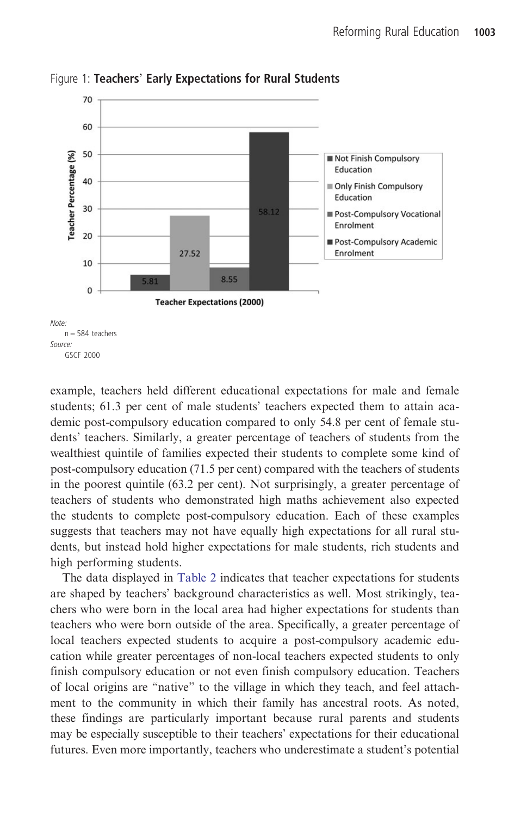

Figure 1: Teachers' Early Expectations for Rural Students

example, teachers held different educational expectations for male and female students; 61.3 per cent of male students' teachers expected them to attain academic post-compulsory education compared to only 54.8 per cent of female students' teachers. Similarly, a greater percentage of teachers of students from the wealthiest quintile of families expected their students to complete some kind of post-compulsory education (71.5 per cent) compared with the teachers of students in the poorest quintile (63.2 per cent). Not surprisingly, a greater percentage of teachers of students who demonstrated high maths achievement also expected the students to complete post-compulsory education. Each of these examples suggests that teachers may not have equally high expectations for all rural students, but instead hold higher expectations for male students, rich students and high performing students.

The data displayed in Table 2 indicates that teacher expectations for students are shaped by teachers' background characteristics as well. Most strikingly, teachers who were born in the local area had higher expectations for students than teachers who were born outside of the area. Specifically, a greater percentage of local teachers expected students to acquire a post-compulsory academic education while greater percentages of non-local teachers expected students to only finish compulsory education or not even finish compulsory education. Teachers of local origins are "native" to the village in which they teach, and feel attachment to the community in which their family has ancestral roots. As noted, these findings are particularly important because rural parents and students may be especially susceptible to their teachers' expectations for their educational futures. Even more importantly, teachers who underestimate a student's potential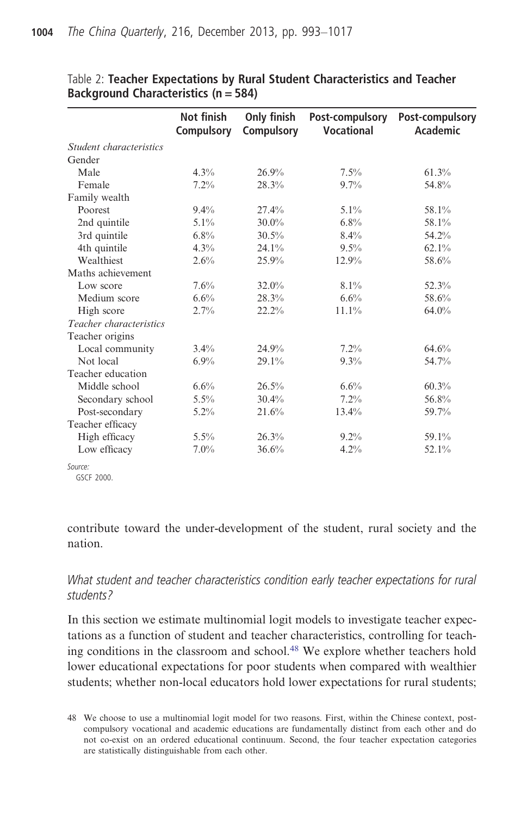|                         | Not finish<br>Compulsory | Only finish<br>Compulsory | Post-compulsory<br><b>Vocational</b> | <b>Post-compulsory</b><br>Academic |
|-------------------------|--------------------------|---------------------------|--------------------------------------|------------------------------------|
| Student characteristics |                          |                           |                                      |                                    |
| Gender                  |                          |                           |                                      |                                    |
| Male                    | $4.3\%$                  | 26.9%                     | $7.5\%$                              | 61.3%                              |
| Female                  | 7.2%                     | 28.3%                     | 9.7%                                 | 54.8%                              |
| Family wealth           |                          |                           |                                      |                                    |
| Poorest                 | $9.4\%$                  | $27.4\%$                  | $5.1\%$                              | 58.1%                              |
| 2nd quintile            | $5.1\%$                  | $30.0\%$                  | 6.8%                                 | 58.1%                              |
| 3rd quintile            | $6.8\%$                  | 30.5%                     | 8.4%                                 | 54.2%                              |
| 4th quintile            | 4.3%                     | 24.1%                     | $9.5\%$                              | 62.1%                              |
| Wealthiest              | 2.6%                     | 25.9%                     | 12.9%                                | 58.6%                              |
| Maths achievement       |                          |                           |                                      |                                    |
| Low score               | 7.6%                     | 32.0%                     | 8.1%                                 | 52.3%                              |
| Medium score            | 6.6%                     | 28.3%                     | 6.6%                                 | 58.6%                              |
| High score              | 2.7%                     | 22.2%                     | 11.1%                                | 64.0%                              |
| Teacher characteristics |                          |                           |                                      |                                    |
| Teacher origins         |                          |                           |                                      |                                    |
| Local community         | $3.4\%$                  | 24.9%                     | $7.2\%$                              | 64.6%                              |
| Not local               | $6.9\%$                  | 29.1%                     | 9.3%                                 | 54.7%                              |
| Teacher education       |                          |                           |                                      |                                    |
| Middle school           | 6.6%                     | 26.5%                     | 6.6%                                 | 60.3%                              |
| Secondary school        | $5.5\%$                  | 30.4%                     | 7.2%                                 | 56.8%                              |
| Post-secondary          | $5.2\%$                  | 21.6%                     | $13.4\%$                             | 59.7%                              |
| Teacher efficacy        |                          |                           |                                      |                                    |
| High efficacy           | $5.5\%$                  | 26.3%                     | $9.2\%$                              | 59.1%                              |
| Low efficacy            | $7.0\%$                  | 36.6%                     | 4.2%                                 | 52.1%                              |
| Source:                 |                          |                           |                                      |                                    |

Table 2: Teacher Expectations by Rural Student Characteristics and Teacher Background Characteristics (n = 584)

GSCF 2000.

contribute toward the under-development of the student, rural society and the nation.

## What student and teacher characteristics condition early teacher expectations for rural students?

In this section we estimate multinomial logit models to investigate teacher expectations as a function of student and teacher characteristics, controlling for teaching conditions in the classroom and school.48 We explore whether teachers hold lower educational expectations for poor students when compared with wealthier students; whether non-local educators hold lower expectations for rural students;

<sup>48</sup> We choose to use a multinomial logit model for two reasons. First, within the Chinese context, postcompulsory vocational and academic educations are fundamentally distinct from each other and do not co-exist on an ordered educational continuum. Second, the four teacher expectation categories are statistically distinguishable from each other.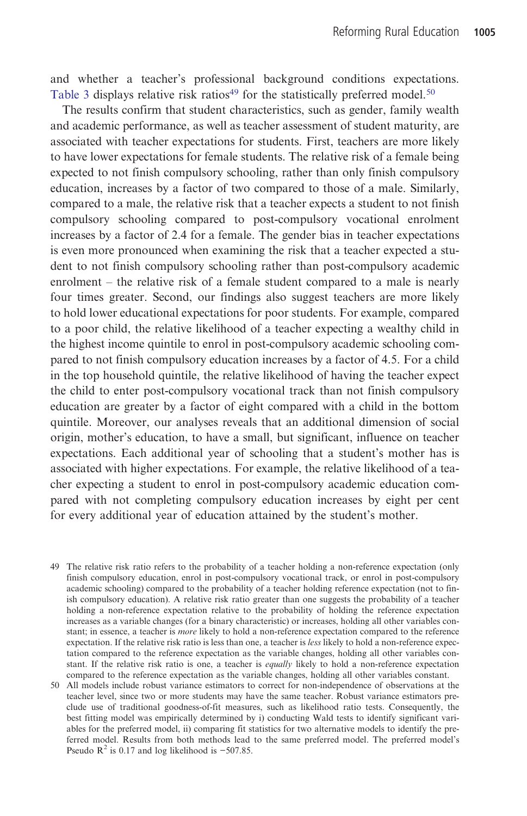and whether a teacher's professional background conditions expectations. Table 3 displays relative risk ratios<sup>49</sup> for the statistically preferred model.<sup>50</sup>

The results confirm that student characteristics, such as gender, family wealth and academic performance, as well as teacher assessment of student maturity, are associated with teacher expectations for students. First, teachers are more likely to have lower expectations for female students. The relative risk of a female being expected to not finish compulsory schooling, rather than only finish compulsory education, increases by a factor of two compared to those of a male. Similarly, compared to a male, the relative risk that a teacher expects a student to not finish compulsory schooling compared to post-compulsory vocational enrolment increases by a factor of 2.4 for a female. The gender bias in teacher expectations is even more pronounced when examining the risk that a teacher expected a student to not finish compulsory schooling rather than post-compulsory academic enrolment – the relative risk of a female student compared to a male is nearly four times greater. Second, our findings also suggest teachers are more likely to hold lower educational expectations for poor students. For example, compared to a poor child, the relative likelihood of a teacher expecting a wealthy child in the highest income quintile to enrol in post-compulsory academic schooling compared to not finish compulsory education increases by a factor of 4.5. For a child in the top household quintile, the relative likelihood of having the teacher expect the child to enter post-compulsory vocational track than not finish compulsory education are greater by a factor of eight compared with a child in the bottom quintile. Moreover, our analyses reveals that an additional dimension of social origin, mother's education, to have a small, but significant, influence on teacher expectations. Each additional year of schooling that a student's mother has is associated with higher expectations. For example, the relative likelihood of a teacher expecting a student to enrol in post-compulsory academic education compared with not completing compulsory education increases by eight per cent for every additional year of education attained by the student's mother.

- 49 The relative risk ratio refers to the probability of a teacher holding a non-reference expectation (only finish compulsory education, enrol in post-compulsory vocational track, or enrol in post-compulsory academic schooling) compared to the probability of a teacher holding reference expectation (not to finish compulsory education). A relative risk ratio greater than one suggests the probability of a teacher holding a non-reference expectation relative to the probability of holding the reference expectation increases as a variable changes (for a binary characteristic) or increases, holding all other variables constant; in essence, a teacher is more likely to hold a non-reference expectation compared to the reference expectation. If the relative risk ratio is less than one, a teacher is *less* likely to hold a non-reference expectation compared to the reference expectation as the variable changes, holding all other variables constant. If the relative risk ratio is one, a teacher is *equally* likely to hold a non-reference expectation compared to the reference expectation as the variable changes, holding all other variables constant.
- 50 All models include robust variance estimators to correct for non-independence of observations at the teacher level, since two or more students may have the same teacher. Robust variance estimators preclude use of traditional goodness-of-fit measures, such as likelihood ratio tests. Consequently, the best fitting model was empirically determined by i) conducting Wald tests to identify significant variables for the preferred model, ii) comparing fit statistics for two alternative models to identify the preferred model. Results from both methods lead to the same preferred model. The preferred model's Pseudo  $R^2$  is 0.17 and log likelihood is -507.85.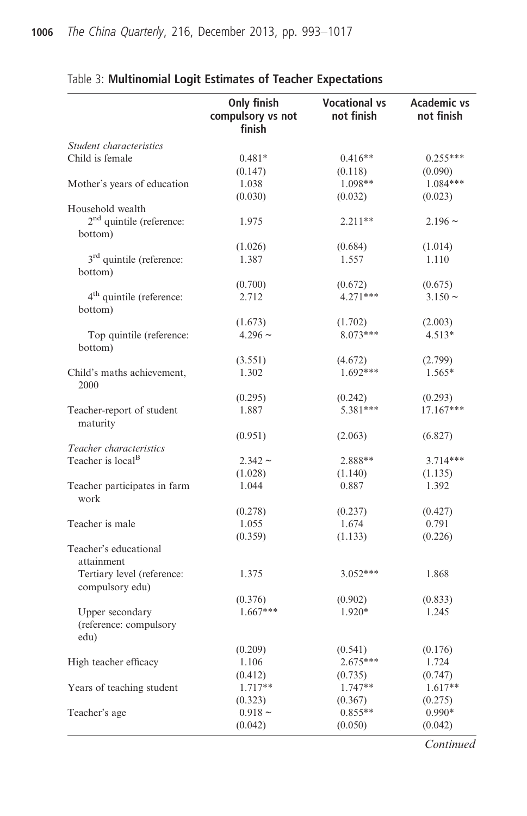|                                      | Only finish                 | <b>Vocational vs</b> | <b>Academic vs</b> |
|--------------------------------------|-----------------------------|----------------------|--------------------|
|                                      | compulsory vs not<br>finish | not finish           | not finish         |
| Student characteristics              |                             |                      |                    |
| Child is female                      | $0.481*$                    | $0.416**$            | $0.255***$         |
|                                      | (0.147)                     | (0.118)              | (0.090)            |
| Mother's years of education          | 1.038                       | 1.098**              | $1.084***$         |
|                                      | (0.030)                     | (0.032)              | (0.023)            |
| Household wealth                     |                             |                      |                    |
| $2nd$ quintile (reference:           | 1.975                       | $2.211**$            | $2.196 \sim$       |
| bottom)                              |                             |                      |                    |
|                                      | (1.026)                     | (0.684)              | (1.014)            |
| 3 <sup>rd</sup> quintile (reference: | 1.387                       | 1.557                | 1.110              |
| bottom)                              |                             |                      |                    |
|                                      | (0.700)                     | (0.672)              | (0.675)            |
| 4 <sup>th</sup> quintile (reference: | 2.712                       | $4.271***$           | $3.150 \sim$       |
| bottom)                              |                             |                      |                    |
|                                      | (1.673)                     | (1.702)              | (2.003)            |
| Top quintile (reference:<br>bottom)  | $4.296 \sim$                | $8.073***$           | $4.513*$           |
|                                      | (3.551)                     | (4.672)              | (2.799)            |
| Child's maths achievement,           | 1.302                       | 1.692***             | 1.565*             |
| 2000                                 |                             |                      |                    |
|                                      | (0.295)                     | (0.242)              | (0.293)            |
| Teacher-report of student            | 1.887                       | 5.381***             | 17.167***          |
| maturity                             |                             |                      |                    |
|                                      | (0.951)                     | (2.063)              | (6.827)            |
| Teacher characteristics              |                             |                      |                    |
| Teacher is local <sup>B</sup>        | $2.342 \sim$                | 2.888**              | 3.714***           |
|                                      | (1.028)                     | (1.140)              | (1.135)            |
| Teacher participates in farm         | 1.044                       | 0.887                | 1.392              |
| work                                 |                             |                      |                    |
|                                      | (0.278)                     | (0.237)              | (0.427)            |
| Teacher is male                      | 1.055                       | 1.674                | 0.791              |
|                                      | (0.359)                     | (1.133)              | (0.226)            |
| Teacher's educational                |                             |                      |                    |
| attainment                           |                             |                      |                    |
| Tertiary level (reference:           | 1.375                       | $3.052***$           | 1.868              |
| compulsory edu)                      |                             |                      |                    |
|                                      | (0.376)                     | (0.902)              | (0.833)            |
| Upper secondary                      | $1.667***$                  | 1.920*               | 1.245              |
| (reference: compulsory               |                             |                      |                    |
| edu)                                 |                             |                      |                    |
|                                      | (0.209)                     | (0.541)              | (0.176)            |
| High teacher efficacy                | 1.106                       | 2.675***             | 1.724              |
|                                      | (0.412)                     | (0.735)              | (0.747)            |
| Years of teaching student            | 1.717**                     | $1.747**$            | 1.617**            |
|                                      | (0.323)                     | (0.367)              | (0.275)            |
| Teacher's age                        | $0.918 \sim$                | $0.855**$            | $0.990*$           |
|                                      | (0.042)                     | (0.050)              | (0.042)            |

## Table 3: Multinomial Logit Estimates of Teacher Expectations

**Continued**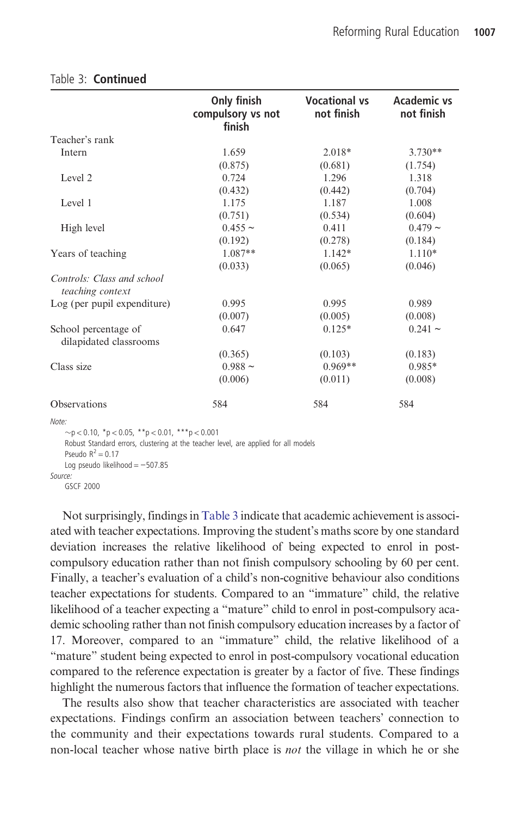|                                                | Only finish<br>compulsory vs not<br>finish | <b>Vocational vs</b><br>not finish | Academic vs<br>not finish |
|------------------------------------------------|--------------------------------------------|------------------------------------|---------------------------|
| Teacher's rank                                 |                                            |                                    |                           |
| Intern                                         | 1.659                                      | $2.018*$                           | $3.730**$                 |
|                                                | (0.875)                                    | (0.681)                            | (1.754)                   |
| Level 2                                        | 0.724                                      | 1.296                              | 1.318                     |
|                                                | (0.432)                                    | (0.442)                            | (0.704)                   |
| Level 1                                        | 1.175                                      | 1.187                              | 1.008                     |
|                                                | (0.751)                                    | (0.534)                            | (0.604)                   |
| High level                                     | $0.455 \sim$                               | 0.411                              | $0.479 -$                 |
|                                                | (0.192)                                    | (0.278)                            | (0.184)                   |
| Years of teaching                              | $1.087**$                                  | $1.142*$                           | $1.110*$                  |
|                                                | (0.033)                                    | (0.065)                            | (0.046)                   |
| Controls: Class and school<br>teaching context |                                            |                                    |                           |
| Log (per pupil expenditure)                    | 0.995                                      | 0.995                              | 0.989                     |
|                                                | (0.007)                                    | (0.005)                            | (0.008)                   |
| School percentage of<br>dilapidated classrooms | 0.647                                      | $0.125*$                           | $0.241 \sim$              |
|                                                | (0.365)                                    | (0.103)                            | (0.183)                   |
| Class size                                     | $0.988 \sim$                               | $0.969**$                          | 0.985*                    |
|                                                | (0.006)                                    | (0.011)                            | (0.008)                   |
| <b>Observations</b>                            | 584                                        | 584                                | 584                       |

#### Table 3: Continued

Note:  $p > p < 0.10$ , \*p < 0.05, \*\*p < 0.01, \*\*\*p < 0.001 Robust Standard errors, clustering at the teacher level, are applied for all models Pseudo  $R^2 = 0.17$ Log pseudo likelihood = −507.85 Source:

```
GSCF 2000
```
Not surprisingly, findings in Table 3 indicate that academic achievement is associated with teacher expectations. Improving the student's maths score by one standard deviation increases the relative likelihood of being expected to enrol in postcompulsory education rather than not finish compulsory schooling by 60 per cent. Finally, a teacher's evaluation of a child's non-cognitive behaviour also conditions teacher expectations for students. Compared to an "immature" child, the relative likelihood of a teacher expecting a "mature" child to enrol in post-compulsory academic schooling rather than not finish compulsory education increases by a factor of 17. Moreover, compared to an "immature" child, the relative likelihood of a "mature" student being expected to enrol in post-compulsory vocational education compared to the reference expectation is greater by a factor of five. These findings highlight the numerous factors that influence the formation of teacher expectations.

The results also show that teacher characteristics are associated with teacher expectations. Findings confirm an association between teachers' connection to the community and their expectations towards rural students. Compared to a non-local teacher whose native birth place is not the village in which he or she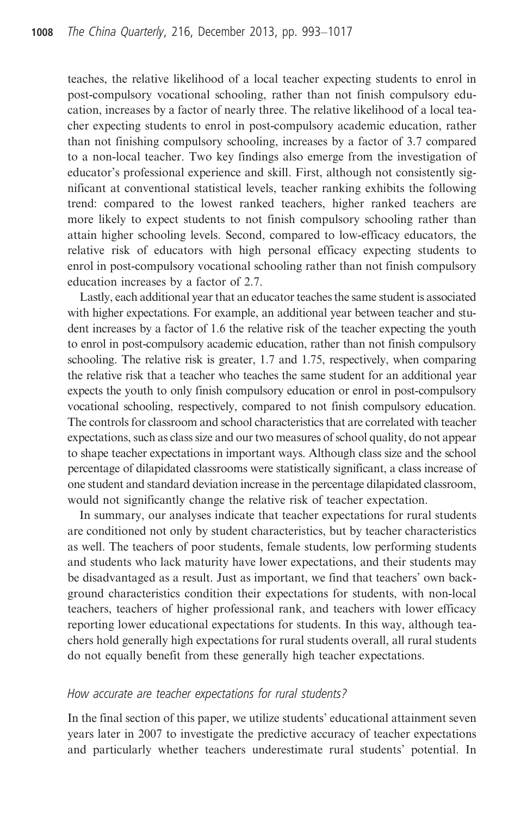teaches, the relative likelihood of a local teacher expecting students to enrol in post-compulsory vocational schooling, rather than not finish compulsory education, increases by a factor of nearly three. The relative likelihood of a local teacher expecting students to enrol in post-compulsory academic education, rather than not finishing compulsory schooling, increases by a factor of 3.7 compared to a non-local teacher. Two key findings also emerge from the investigation of educator's professional experience and skill. First, although not consistently significant at conventional statistical levels, teacher ranking exhibits the following trend: compared to the lowest ranked teachers, higher ranked teachers are more likely to expect students to not finish compulsory schooling rather than attain higher schooling levels. Second, compared to low-efficacy educators, the relative risk of educators with high personal efficacy expecting students to enrol in post-compulsory vocational schooling rather than not finish compulsory education increases by a factor of 2.7.

Lastly, each additional year that an educator teaches the same student is associated with higher expectations. For example, an additional year between teacher and student increases by a factor of 1.6 the relative risk of the teacher expecting the youth to enrol in post-compulsory academic education, rather than not finish compulsory schooling. The relative risk is greater, 1.7 and 1.75, respectively, when comparing the relative risk that a teacher who teaches the same student for an additional year expects the youth to only finish compulsory education or enrol in post-compulsory vocational schooling, respectively, compared to not finish compulsory education. The controls for classroom and school characteristics that are correlated with teacher expectations, such as class size and our two measures of school quality, do not appear to shape teacher expectations in important ways. Although class size and the school percentage of dilapidated classrooms were statistically significant, a class increase of one student and standard deviation increase in the percentage dilapidated classroom, would not significantly change the relative risk of teacher expectation.

In summary, our analyses indicate that teacher expectations for rural students are conditioned not only by student characteristics, but by teacher characteristics as well. The teachers of poor students, female students, low performing students and students who lack maturity have lower expectations, and their students may be disadvantaged as a result. Just as important, we find that teachers' own background characteristics condition their expectations for students, with non-local teachers, teachers of higher professional rank, and teachers with lower efficacy reporting lower educational expectations for students. In this way, although teachers hold generally high expectations for rural students overall, all rural students do not equally benefit from these generally high teacher expectations.

#### How accurate are teacher expectations for rural students?

In the final section of this paper, we utilize students' educational attainment seven years later in 2007 to investigate the predictive accuracy of teacher expectations and particularly whether teachers underestimate rural students' potential. In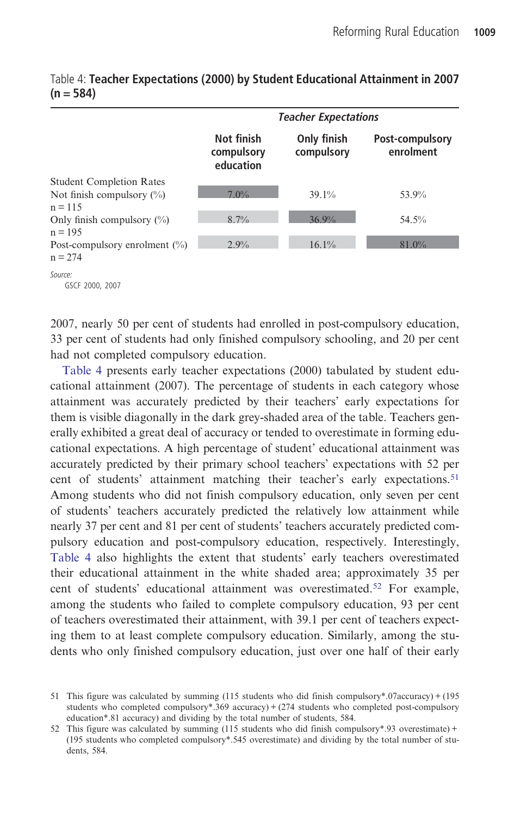|                                                                  | <b>Teacher Expectations</b>           |                           |                              |
|------------------------------------------------------------------|---------------------------------------|---------------------------|------------------------------|
|                                                                  | Not finish<br>compulsory<br>education | Only finish<br>compulsory | Post-compulsory<br>enrolment |
| <b>Student Completion Rates</b><br>Not finish compulsory $(\% )$ | 7.0%                                  | $39.1\%$                  | 53.9%                        |
| $n = 115$                                                        |                                       |                           |                              |
| Only finish compulsory $(\% )$<br>$n = 195$                      | 8.7%                                  | 36.9%                     | 54.5%                        |
| Post-compulsory enrolment $(\%)$<br>$n = 2.74$                   | 2.9%                                  | 16.1%                     | $81.0\%$                     |

Table 4: Teacher Expectations (2000) by Student Educational Attainment in 2007  $(n = 584)$ 

2007, nearly 50 per cent of students had enrolled in post-compulsory education, 33 per cent of students had only finished compulsory schooling, and 20 per cent had not completed compulsory education.

Table 4 presents early teacher expectations (2000) tabulated by student educational attainment (2007). The percentage of students in each category whose attainment was accurately predicted by their teachers' early expectations for them is visible diagonally in the dark grey-shaded area of the table. Teachers generally exhibited a great deal of accuracy or tended to overestimate in forming educational expectations. A high percentage of student' educational attainment was accurately predicted by their primary school teachers' expectations with 52 per cent of students' attainment matching their teacher's early expectations.<sup>51</sup> Among students who did not finish compulsory education, only seven per cent of students' teachers accurately predicted the relatively low attainment while nearly 37 per cent and 81 per cent of students' teachers accurately predicted compulsory education and post-compulsory education, respectively. Interestingly, Table 4 also highlights the extent that students' early teachers overestimated their educational attainment in the white shaded area; approximately 35 per cent of students' educational attainment was overestimated.<sup>52</sup> For example, among the students who failed to complete compulsory education, 93 per cent of teachers overestimated their attainment, with 39.1 per cent of teachers expecting them to at least complete compulsory education. Similarly, among the students who only finished compulsory education, just over one half of their early

Source: GSCF 2000, 2007

<sup>51</sup> This figure was calculated by summing (115 students who did finish compulsory\*.07accuracy) + (195 students who completed compulsory\*.369 accuracy) + (274 students who completed post-compulsory education\*.81 accuracy) and dividing by the total number of students, 584.

<sup>52</sup> This figure was calculated by summing (115 students who did finish compulsory\*.93 overestimate) + (195 students who completed compulsory\*.545 overestimate) and dividing by the total number of students, 584.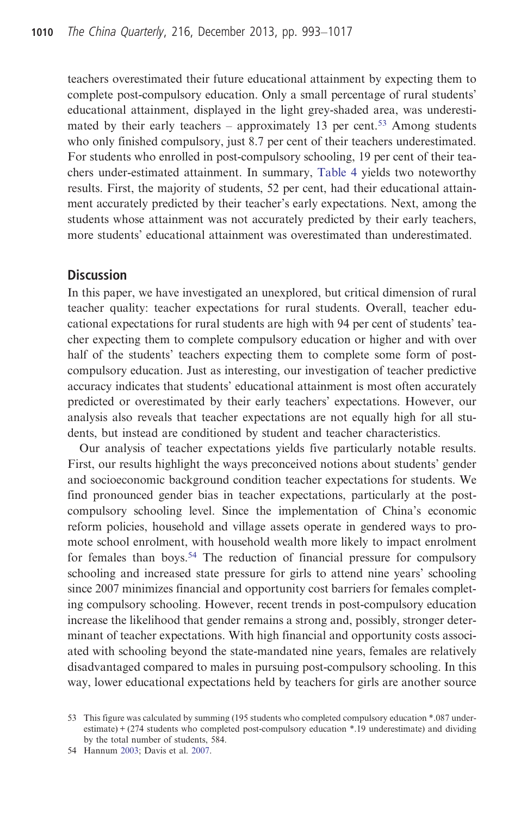teachers overestimated their future educational attainment by expecting them to complete post-compulsory education. Only a small percentage of rural students' educational attainment, displayed in the light grey-shaded area, was underestimated by their early teachers – approximately 13 per cent.<sup>53</sup> Among students who only finished compulsory, just 8.7 per cent of their teachers underestimated. For students who enrolled in post-compulsory schooling, 19 per cent of their teachers under-estimated attainment. In summary, Table 4 yields two noteworthy results. First, the majority of students, 52 per cent, had their educational attainment accurately predicted by their teacher's early expectations. Next, among the students whose attainment was not accurately predicted by their early teachers, more students' educational attainment was overestimated than underestimated.

#### **Discussion**

In this paper, we have investigated an unexplored, but critical dimension of rural teacher quality: teacher expectations for rural students. Overall, teacher educational expectations for rural students are high with 94 per cent of students' teacher expecting them to complete compulsory education or higher and with over half of the students' teachers expecting them to complete some form of postcompulsory education. Just as interesting, our investigation of teacher predictive accuracy indicates that students' educational attainment is most often accurately predicted or overestimated by their early teachers' expectations. However, our analysis also reveals that teacher expectations are not equally high for all students, but instead are conditioned by student and teacher characteristics.

Our analysis of teacher expectations yields five particularly notable results. First, our results highlight the ways preconceived notions about students' gender and socioeconomic background condition teacher expectations for students. We find pronounced gender bias in teacher expectations, particularly at the postcompulsory schooling level. Since the implementation of China's economic reform policies, household and village assets operate in gendered ways to promote school enrolment, with household wealth more likely to impact enrolment for females than boys.<sup>54</sup> The reduction of financial pressure for compulsory schooling and increased state pressure for girls to attend nine years' schooling since 2007 minimizes financial and opportunity cost barriers for females completing compulsory schooling. However, recent trends in post-compulsory education increase the likelihood that gender remains a strong and, possibly, stronger determinant of teacher expectations. With high financial and opportunity costs associated with schooling beyond the state-mandated nine years, females are relatively disadvantaged compared to males in pursuing post-compulsory schooling. In this way, lower educational expectations held by teachers for girls are another source

<sup>53</sup> This figure was calculated by summing (195 students who completed compulsory education \*.087 underestimate) + (274 students who completed post-compulsory education \*.19 underestimate) and dividing by the total number of students, 584.

<sup>54</sup> Hannum 2003; Davis et al. 2007.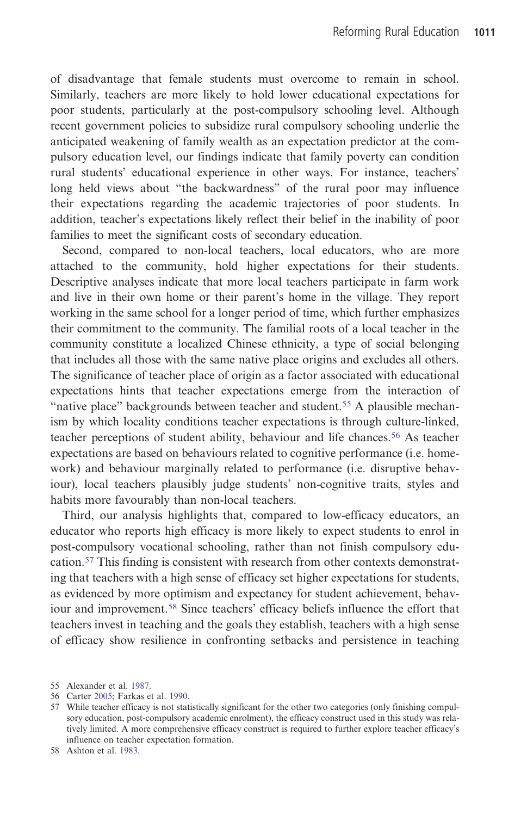of disadvantage that female students must overcome to remain in school. Similarly, teachers are more likely to hold lower educational expectations for poor students, particularly at the post-compulsory schooling level. Although recent government policies to subsidize rural compulsory schooling underlie the anticipated weakening of family wealth as an expectation predictor at the compulsory education level, our findings indicate that family poverty can condition rural students' educational experience in other ways. For instance, teachers' long held views about "the backwardness" of the rural poor may influence their expectations regarding the academic trajectories of poor students. In addition, teacher's expectations likely reflect their belief in the inability of poor families to meet the significant costs of secondary education.

Second, compared to non-local teachers, local educators, who are more attached to the community, hold higher expectations for their students. Descriptive analyses indicate that more local teachers participate in farm work and live in their own home or their parent's home in the village. They report working in the same school for a longer period of time, which further emphasizes their commitment to the community. The familial roots of a local teacher in the community constitute a localized Chinese ethnicity, a type of social belonging that includes all those with the same native place origins and excludes all others. The significance of teacher place of origin as a factor associated with educational expectations hints that teacher expectations emerge from the interaction of "native place" backgrounds between teacher and student.<sup>55</sup> A plausible mechanism by which locality conditions teacher expectations is through culture-linked, teacher perceptions of student ability, behaviour and life chances.<sup>56</sup> As teacher expectations are based on behaviours related to cognitive performance (i.e. homework) and behaviour marginally related to performance (i.e. disruptive behaviour), local teachers plausibly judge students' non-cognitive traits, styles and habits more favourably than non-local teachers.

Third, our analysis highlights that, compared to low-efficacy educators, an educator who reports high efficacy is more likely to expect students to enrol in post-compulsory vocational schooling, rather than not finish compulsory education.<sup>57</sup> This finding is consistent with research from other contexts demonstrating that teachers with a high sense of efficacy set higher expectations for students, as evidenced by more optimism and expectancy for student achievement, behaviour and improvement.<sup>58</sup> Since teachers' efficacy beliefs influence the effort that teachers invest in teaching and the goals they establish, teachers with a high sense of efficacy show resilience in confronting setbacks and persistence in teaching

<sup>55</sup> Alexander et al. 1987.

<sup>56</sup> Carter 2005; Farkas et al. 1990.

<sup>57</sup> While teacher efficacy is not statistically significant for the other two categories (only finishing compulsory education, post-compulsory academic enrolment), the efficacy construct used in this study was relatively limited. A more comprehensive efficacy construct is required to further explore teacher efficacy's influence on teacher expectation formation.

<sup>58</sup> Ashton et al. 1983.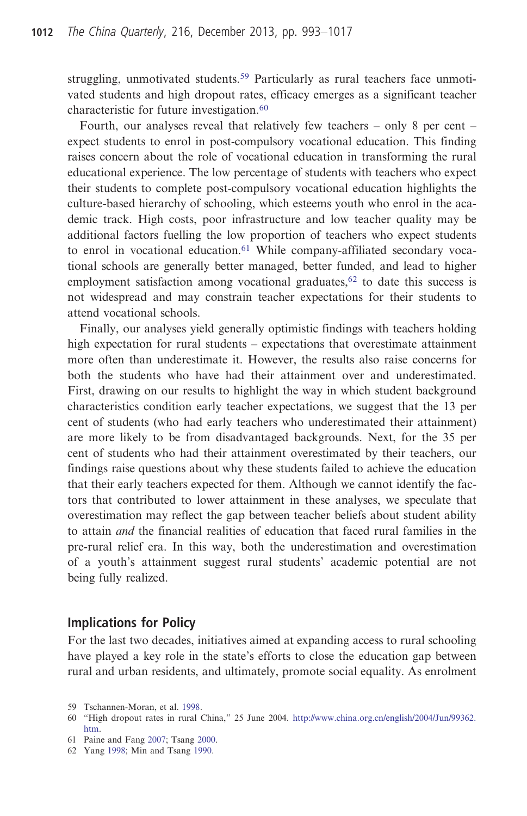struggling, unmotivated students.<sup>59</sup> Particularly as rural teachers face unmotivated students and high dropout rates, efficacy emerges as a significant teacher characteristic for future investigation.<sup>60</sup>

Fourth, our analyses reveal that relatively few teachers – only 8 per cent – expect students to enrol in post-compulsory vocational education. This finding raises concern about the role of vocational education in transforming the rural educational experience. The low percentage of students with teachers who expect their students to complete post-compulsory vocational education highlights the culture-based hierarchy of schooling, which esteems youth who enrol in the academic track. High costs, poor infrastructure and low teacher quality may be additional factors fuelling the low proportion of teachers who expect students to enrol in vocational education.<sup>61</sup> While company-affiliated secondary vocational schools are generally better managed, better funded, and lead to higher employment satisfaction among vocational graduates, $62$  to date this success is not widespread and may constrain teacher expectations for their students to attend vocational schools.

Finally, our analyses yield generally optimistic findings with teachers holding high expectation for rural students – expectations that overestimate attainment more often than underestimate it. However, the results also raise concerns for both the students who have had their attainment over and underestimated. First, drawing on our results to highlight the way in which student background characteristics condition early teacher expectations, we suggest that the 13 per cent of students (who had early teachers who underestimated their attainment) are more likely to be from disadvantaged backgrounds. Next, for the 35 per cent of students who had their attainment overestimated by their teachers, our findings raise questions about why these students failed to achieve the education that their early teachers expected for them. Although we cannot identify the factors that contributed to lower attainment in these analyses, we speculate that overestimation may reflect the gap between teacher beliefs about student ability to attain and the financial realities of education that faced rural families in the pre-rural relief era. In this way, both the underestimation and overestimation of a youth's attainment suggest rural students' academic potential are not being fully realized.

#### Implications for Policy

For the last two decades, initiatives aimed at expanding access to rural schooling have played a key role in the state's efforts to close the education gap between rural and urban residents, and ultimately, promote social equality. As enrolment

<sup>59</sup> Tschannen-Moran, et al. 1998.

<sup>60</sup> "High dropout rates in rural China," 25 June 2004. [http://www.china.org.cn/english/2004/Jun/99362.](http://www.china.org.cn/english/2004/Jun/99362.htm) [htm](http://www.china.org.cn/english/2004/Jun/99362.htm).

<sup>61</sup> Paine and Fang 2007; Tsang 2000.

<sup>62</sup> Yang 1998; Min and Tsang 1990.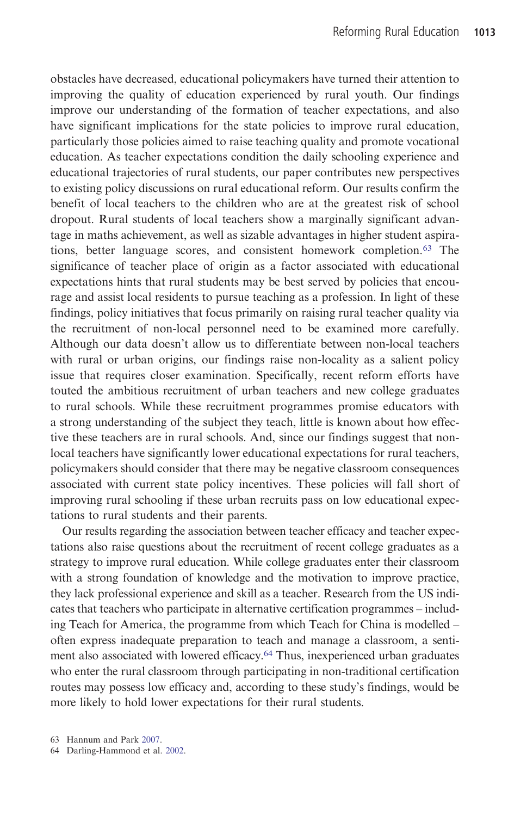obstacles have decreased, educational policymakers have turned their attention to improving the quality of education experienced by rural youth. Our findings improve our understanding of the formation of teacher expectations, and also have significant implications for the state policies to improve rural education, particularly those policies aimed to raise teaching quality and promote vocational education. As teacher expectations condition the daily schooling experience and educational trajectories of rural students, our paper contributes new perspectives to existing policy discussions on rural educational reform. Our results confirm the benefit of local teachers to the children who are at the greatest risk of school dropout. Rural students of local teachers show a marginally significant advantage in maths achievement, as well as sizable advantages in higher student aspirations, better language scores, and consistent homework completion.<sup>63</sup> The significance of teacher place of origin as a factor associated with educational expectations hints that rural students may be best served by policies that encourage and assist local residents to pursue teaching as a profession. In light of these findings, policy initiatives that focus primarily on raising rural teacher quality via the recruitment of non-local personnel need to be examined more carefully. Although our data doesn't allow us to differentiate between non-local teachers with rural or urban origins, our findings raise non-locality as a salient policy issue that requires closer examination. Specifically, recent reform efforts have touted the ambitious recruitment of urban teachers and new college graduates to rural schools. While these recruitment programmes promise educators with a strong understanding of the subject they teach, little is known about how effective these teachers are in rural schools. And, since our findings suggest that nonlocal teachers have significantly lower educational expectations for rural teachers, policymakers should consider that there may be negative classroom consequences associated with current state policy incentives. These policies will fall short of improving rural schooling if these urban recruits pass on low educational expectations to rural students and their parents.

Our results regarding the association between teacher efficacy and teacher expectations also raise questions about the recruitment of recent college graduates as a strategy to improve rural education. While college graduates enter their classroom with a strong foundation of knowledge and the motivation to improve practice, they lack professional experience and skill as a teacher. Research from the US indicates that teachers who participate in alternative certification programmes – including Teach for America, the programme from which Teach for China is modelled – often express inadequate preparation to teach and manage a classroom, a sentiment also associated with lowered efficacy.<sup>64</sup> Thus, inexperienced urban graduates who enter the rural classroom through participating in non-traditional certification routes may possess low efficacy and, according to these study's findings, would be more likely to hold lower expectations for their rural students.

64 Darling-Hammond et al. 2002.

<sup>63</sup> Hannum and Park 2007.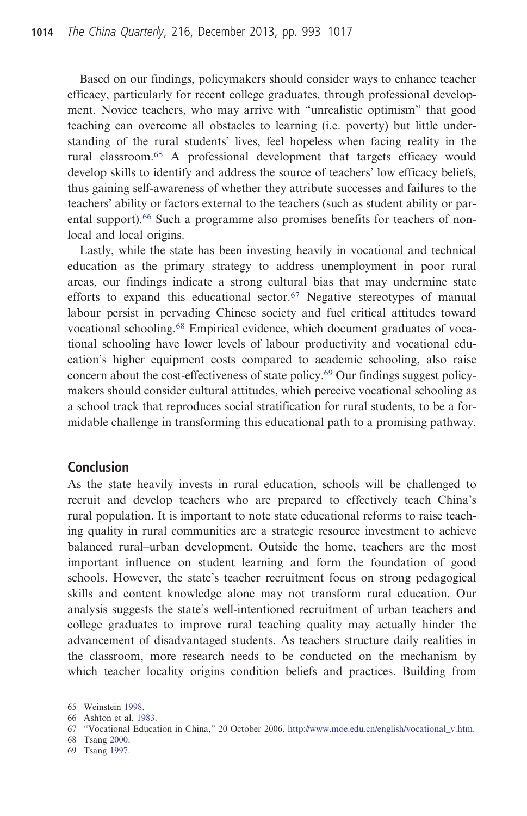Based on our findings, policymakers should consider ways to enhance teacher efficacy, particularly for recent college graduates, through professional development. Novice teachers, who may arrive with "unrealistic optimism" that good teaching can overcome all obstacles to learning (i.e. poverty) but little understanding of the rural students' lives, feel hopeless when facing reality in the rural classroom.<sup>65</sup> A professional development that targets efficacy would develop skills to identify and address the source of teachers' low efficacy beliefs, thus gaining self-awareness of whether they attribute successes and failures to the teachers' ability or factors external to the teachers (such as student ability or parental support).<sup>66</sup> Such a programme also promises benefits for teachers of nonlocal and local origins.

Lastly, while the state has been investing heavily in vocational and technical education as the primary strategy to address unemployment in poor rural areas, our findings indicate a strong cultural bias that may undermine state efforts to expand this educational sector.<sup>67</sup> Negative stereotypes of manual labour persist in pervading Chinese society and fuel critical attitudes toward vocational schooling.<sup>68</sup> Empirical evidence, which document graduates of vocational schooling have lower levels of labour productivity and vocational education's higher equipment costs compared to academic schooling, also raise concern about the cost-effectiveness of state policy.<sup>69</sup> Our findings suggest policymakers should consider cultural attitudes, which perceive vocational schooling as a school track that reproduces social stratification for rural students, to be a formidable challenge in transforming this educational path to a promising pathway.

#### **Conclusion**

As the state heavily invests in rural education, schools will be challenged to recruit and develop teachers who are prepared to effectively teach China's rural population. It is important to note state educational reforms to raise teaching quality in rural communities are a strategic resource investment to achieve balanced rural–urban development. Outside the home, teachers are the most important influence on student learning and form the foundation of good schools. However, the state's teacher recruitment focus on strong pedagogical skills and content knowledge alone may not transform rural education. Our analysis suggests the state's well-intentioned recruitment of urban teachers and college graduates to improve rural teaching quality may actually hinder the advancement of disadvantaged students. As teachers structure daily realities in the classroom, more research needs to be conducted on the mechanism by which teacher locality origins condition beliefs and practices. Building from

<sup>65</sup> Weinstein 1998.

<sup>66</sup> Ashton et al. 1983.

<sup>67</sup> "Vocational Education in China," 20 October 2006. [http://www.moe.edu.cn/english/vocational\\_v.htm](http://www.moe.edu.cn/english/vocational_v.htm).

<sup>68</sup> Tsang 2000.

<sup>69</sup> Tsang 1997.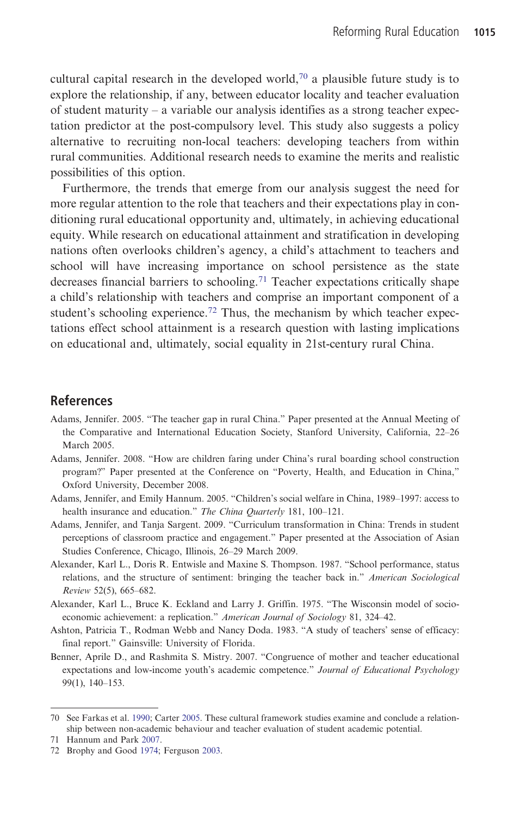cultural capital research in the developed world,<sup>70</sup> a plausible future study is to explore the relationship, if any, between educator locality and teacher evaluation of student maturity – a variable our analysis identifies as a strong teacher expectation predictor at the post-compulsory level. This study also suggests a policy alternative to recruiting non-local teachers: developing teachers from within rural communities. Additional research needs to examine the merits and realistic possibilities of this option.

Furthermore, the trends that emerge from our analysis suggest the need for more regular attention to the role that teachers and their expectations play in conditioning rural educational opportunity and, ultimately, in achieving educational equity. While research on educational attainment and stratification in developing nations often overlooks children's agency, a child's attachment to teachers and school will have increasing importance on school persistence as the state decreases financial barriers to schooling.<sup>71</sup> Teacher expectations critically shape a child's relationship with teachers and comprise an important component of a student's schooling experience.<sup>72</sup> Thus, the mechanism by which teacher expectations effect school attainment is a research question with lasting implications on educational and, ultimately, social equality in 21st-century rural China.

#### References

- Adams, Jennifer. 2005. "The teacher gap in rural China." Paper presented at the Annual Meeting of the Comparative and International Education Society, Stanford University, California, 22–26 March 2005.
- Adams, Jennifer. 2008. "How are children faring under China's rural boarding school construction program?" Paper presented at the Conference on "Poverty, Health, and Education in China," Oxford University, December 2008.
- Adams, Jennifer, and Emily Hannum. 2005. "Children's social welfare in China, 1989–1997: access to health insurance and education." The China Quarterly 181, 100-121.
- Adams, Jennifer, and Tanja Sargent. 2009. "Curriculum transformation in China: Trends in student perceptions of classroom practice and engagement." Paper presented at the Association of Asian Studies Conference, Chicago, Illinois, 26–29 March 2009.
- Alexander, Karl L., Doris R. Entwisle and Maxine S. Thompson. 1987. "School performance, status relations, and the structure of sentiment: bringing the teacher back in." American Sociological Review 52(5), 665–682.
- Alexander, Karl L., Bruce K. Eckland and Larry J. Griffin. 1975. "The Wisconsin model of socioeconomic achievement: a replication." American Journal of Sociology 81, 324-42.
- Ashton, Patricia T., Rodman Webb and Nancy Doda. 1983. "A study of teachers' sense of efficacy: final report." Gainsville: University of Florida.
- Benner, Aprile D., and Rashmita S. Mistry. 2007. "Congruence of mother and teacher educational expectations and low-income youth's academic competence." Journal of Educational Psychology 99(1), 140–153.

<sup>70</sup> See Farkas et al. 1990; Carter 2005. These cultural framework studies examine and conclude a relationship between non-academic behaviour and teacher evaluation of student academic potential.

<sup>71</sup> Hannum and Park 2007.

<sup>72</sup> Brophy and Good 1974; Ferguson 2003.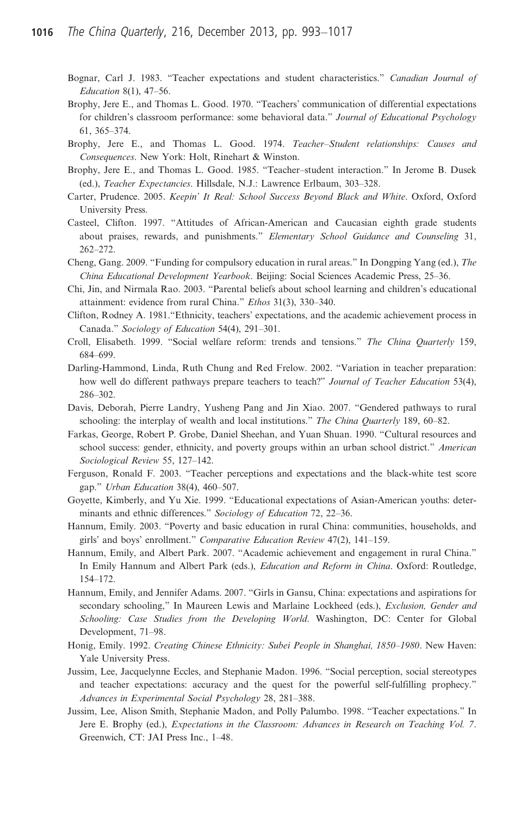- Bognar, Carl J. 1983. "Teacher expectations and student characteristics." Canadian Journal of Education 8(1), 47–56.
- Brophy, Jere E., and Thomas L. Good. 1970. "Teachers' communication of differential expectations for children's classroom performance: some behavioral data." Journal of Educational Psychology 61, 365–374.
- Brophy, Jere E., and Thomas L. Good. 1974. Teacher–Student relationships: Causes and Consequences. New York: Holt, Rinehart & Winston.
- Brophy, Jere E., and Thomas L. Good. 1985. "Teacher–student interaction." In Jerome B. Dusek (ed.), Teacher Expectancies. Hillsdale, N.J.: Lawrence Erlbaum, 303–328.
- Carter, Prudence. 2005. Keepin' It Real: School Success Beyond Black and White. Oxford, Oxford University Press.
- Casteel, Clifton. 1997. "Attitudes of African-American and Caucasian eighth grade students about praises, rewards, and punishments." Elementary School Guidance and Counseling 31, 262–272.
- Cheng, Gang. 2009. "Funding for compulsory education in rural areas." In Dongping Yang (ed.), The China Educational Development Yearbook. Beijing: Social Sciences Academic Press, 25–36.
- Chi, Jin, and Nirmala Rao. 2003. "Parental beliefs about school learning and children's educational attainment: evidence from rural China." Ethos 31(3), 330–340.
- Clifton, Rodney A. 1981."Ethnicity, teachers' expectations, and the academic achievement process in Canada." Sociology of Education 54(4), 291–301.
- Croll, Elisabeth. 1999. "Social welfare reform: trends and tensions." The China Quarterly 159, 684–699.
- Darling-Hammond, Linda, Ruth Chung and Red Frelow. 2002. "Variation in teacher preparation: how well do different pathways prepare teachers to teach?" Journal of Teacher Education 53(4), 286–302.
- Davis, Deborah, Pierre Landry, Yusheng Pang and Jin Xiao. 2007. "Gendered pathways to rural schooling: the interplay of wealth and local institutions." The China Quarterly 189, 60–82.
- Farkas, George, Robert P. Grobe, Daniel Sheehan, and Yuan Shuan. 1990. "Cultural resources and school success: gender, ethnicity, and poverty groups within an urban school district." American Sociological Review 55, 127–142.
- Ferguson, Ronald F. 2003. "Teacher perceptions and expectations and the black-white test score gap." Urban Education 38(4), 460–507.
- Goyette, Kimberly, and Yu Xie. 1999. "Educational expectations of Asian-American youths: determinants and ethnic differences." Sociology of Education 72, 22–36.
- Hannum, Emily. 2003. "Poverty and basic education in rural China: communities, households, and girls' and boys' enrollment." Comparative Education Review 47(2), 141–159.
- Hannum, Emily, and Albert Park. 2007. "Academic achievement and engagement in rural China." In Emily Hannum and Albert Park (eds.), Education and Reform in China. Oxford: Routledge, 154–172.
- Hannum, Emily, and Jennifer Adams. 2007. "Girls in Gansu, China: expectations and aspirations for secondary schooling," In Maureen Lewis and Marlaine Lockheed (eds.), *Exclusion, Gender and* Schooling: Case Studies from the Developing World. Washington, DC: Center for Global Development, 71–98.
- Honig, Emily. 1992. Creating Chinese Ethnicity: Subei People in Shanghai, 1850–1980. New Haven: Yale University Press.
- Jussim, Lee, Jacquelynne Eccles, and Stephanie Madon. 1996. "Social perception, social stereotypes and teacher expectations: accuracy and the quest for the powerful self-fulfilling prophecy." Advances in Experimental Social Psychology 28, 281–388.
- Jussim, Lee, Alison Smith, Stephanie Madon, and Polly Palumbo. 1998. "Teacher expectations." In Jere E. Brophy (ed.), Expectations in the Classroom: Advances in Research on Teaching Vol. 7. Greenwich, CT: JAI Press Inc., 1–48.